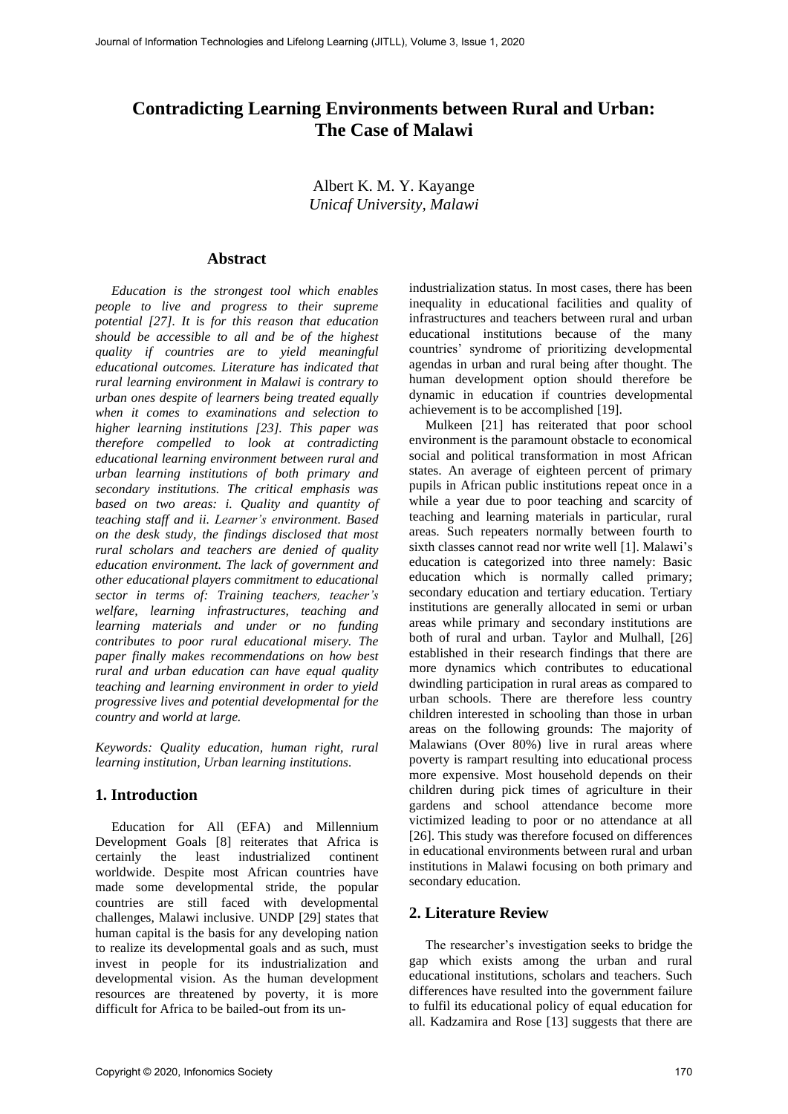# **Contradicting Learning Environments between Rural and Urban: The Case of Malawi**

Albert K. M. Y. Kayange *Unicaf University, Malawi*

# **Abstract**

*Education is the strongest tool which enables people to live and progress to their supreme potential [27]. It is for this reason that education should be accessible to all and be of the highest quality if countries are to yield meaningful educational outcomes. Literature has indicated that rural learning environment in Malawi is contrary to urban ones despite of learners being treated equally when it comes to examinations and selection to higher learning institutions [23]. This paper was therefore compelled to look at contradicting educational learning environment between rural and urban learning institutions of both primary and secondary institutions. The critical emphasis was based on two areas: i. Quality and quantity of teaching staff and ii. Learner's environment. Based on the desk study, the findings disclosed that most rural scholars and teachers are denied of quality education environment. The lack of government and other educational players commitment to educational sector in terms of: Training teachers, teacher's welfare, learning infrastructures, teaching and learning materials and under or no funding contributes to poor rural educational misery. The paper finally makes recommendations on how best rural and urban education can have equal quality teaching and learning environment in order to yield progressive lives and potential developmental for the country and world at large.* 

*Keywords: Quality education, human right, rural learning institution, Urban learning institutions.*

# **1. Introduction**

Education for All (EFA) and Millennium Development Goals [8] reiterates that Africa is certainly the least industrialized continent worldwide. Despite most African countries have made some developmental stride, the popular countries are still faced with developmental challenges, Malawi inclusive. UNDP [29] states that human capital is the basis for any developing nation to realize its developmental goals and as such, must invest in people for its industrialization and developmental vision. As the human development resources are threatened by poverty, it is more difficult for Africa to be bailed-out from its un-

industrialization status. In most cases, there has been inequality in educational facilities and quality of infrastructures and teachers between rural and urban educational institutions because of the many countries' syndrome of prioritizing developmental agendas in urban and rural being after thought. The human development option should therefore be dynamic in education if countries developmental achievement is to be accomplished [19].

Mulkeen [21] has reiterated that poor school environment is the paramount obstacle to economical social and political transformation in most African states. An average of eighteen percent of primary pupils in African public institutions repeat once in a while a year due to poor teaching and scarcity of teaching and learning materials in particular, rural areas. Such repeaters normally between fourth to sixth classes cannot read nor write well [1]. Malawi's education is categorized into three namely: Basic education which is normally called primary; secondary education and tertiary education. Tertiary institutions are generally allocated in semi or urban areas while primary and secondary institutions are both of rural and urban. Taylor and Mulhall, [26] established in their research findings that there are more dynamics which contributes to educational dwindling participation in rural areas as compared to urban schools. There are therefore less country children interested in schooling than those in urban areas on the following grounds: The majority of Malawians (Over 80%) live in rural areas where poverty is rampart resulting into educational process more expensive. Most household depends on their children during pick times of agriculture in their gardens and school attendance become more victimized leading to poor or no attendance at all [26]. This study was therefore focused on differences in educational environments between rural and urban institutions in Malawi focusing on both primary and secondary education.

# **2. Literature Review**

The researcher's investigation seeks to bridge the gap which exists among the urban and rural educational institutions, scholars and teachers. Such differences have resulted into the government failure to fulfil its educational policy of equal education for all. Kadzamira and Rose [13] suggests that there are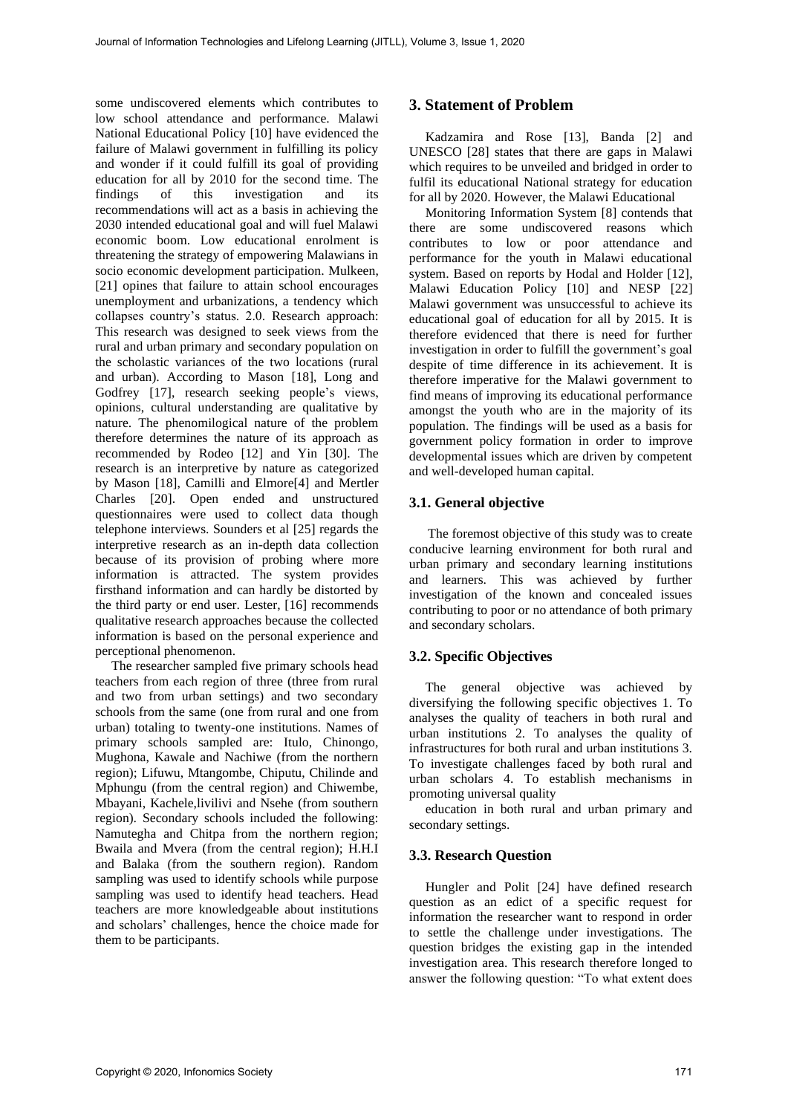some undiscovered elements which contributes to low school attendance and performance. Malawi National Educational Policy [10] have evidenced the failure of Malawi government in fulfilling its policy and wonder if it could fulfill its goal of providing education for all by 2010 for the second time. The findings of this investigation and its recommendations will act as a basis in achieving the 2030 intended educational goal and will fuel Malawi economic boom. Low educational enrolment is threatening the strategy of empowering Malawians in socio economic development participation. Mulkeen, [21] opines that failure to attain school encourages unemployment and urbanizations, a tendency which collapses country's status. 2.0. Research approach: This research was designed to seek views from the rural and urban primary and secondary population on the scholastic variances of the two locations (rural and urban). According to Mason [18], Long and Godfrey [17], research seeking people's views, opinions, cultural understanding are qualitative by nature. The phenomilogical nature of the problem therefore determines the nature of its approach as recommended by Rodeo [12] and Yin [30]. The research is an interpretive by nature as categorized by Mason [18], Camilli and Elmore[4] and Mertler Charles [20]. Open ended and unstructured questionnaires were used to collect data though telephone interviews. Sounders et al [25] regards the interpretive research as an in-depth data collection because of its provision of probing where more information is attracted. The system provides firsthand information and can hardly be distorted by the third party or end user. Lester, [16] recommends qualitative research approaches because the collected information is based on the personal experience and perceptional phenomenon.

The researcher sampled five primary schools head teachers from each region of three (three from rural and two from urban settings) and two secondary schools from the same (one from rural and one from urban) totaling to twenty-one institutions. Names of primary schools sampled are: Itulo, Chinongo, Mughona, Kawale and Nachiwe (from the northern region); Lifuwu, Mtangombe, Chiputu, Chilinde and Mphungu (from the central region) and Chiwembe, Mbayani, Kachele,livilivi and Nsehe (from southern region). Secondary schools included the following: Namutegha and Chitpa from the northern region; Bwaila and Mvera (from the central region); H.H.I and Balaka (from the southern region). Random sampling was used to identify schools while purpose sampling was used to identify head teachers. Head teachers are more knowledgeable about institutions and scholars' challenges, hence the choice made for them to be participants.

# **3. Statement of Problem**

Kadzamira and Rose [13], Banda [2] and UNESCO [28] states that there are gaps in Malawi which requires to be unveiled and bridged in order to fulfil its educational National strategy for education for all by 2020. However, the Malawi Educational

Monitoring Information System [8] contends that there are some undiscovered reasons which contributes to low or poor attendance and performance for the youth in Malawi educational system. Based on reports by Hodal and Holder [12], Malawi Education Policy [10] and NESP [22] Malawi government was unsuccessful to achieve its educational goal of education for all by 2015. It is therefore evidenced that there is need for further investigation in order to fulfill the government's goal despite of time difference in its achievement. It is therefore imperative for the Malawi government to find means of improving its educational performance amongst the youth who are in the majority of its population. The findings will be used as a basis for government policy formation in order to improve developmental issues which are driven by competent and well-developed human capital.

# **3.1. General objective**

The foremost objective of this study was to create conducive learning environment for both rural and urban primary and secondary learning institutions and learners. This was achieved by further investigation of the known and concealed issues contributing to poor or no attendance of both primary and secondary scholars.

# **3.2. Specific Objectives**

The general objective was achieved by diversifying the following specific objectives 1. To analyses the quality of teachers in both rural and urban institutions 2. To analyses the quality of infrastructures for both rural and urban institutions 3. To investigate challenges faced by both rural and urban scholars 4. To establish mechanisms in promoting universal quality

education in both rural and urban primary and secondary settings.

# **3.3. Research Question**

Hungler and Polit [24] have defined research question as an edict of a specific request for information the researcher want to respond in order to settle the challenge under investigations. The question bridges the existing gap in the intended investigation area. This research therefore longed to answer the following question: "To what extent does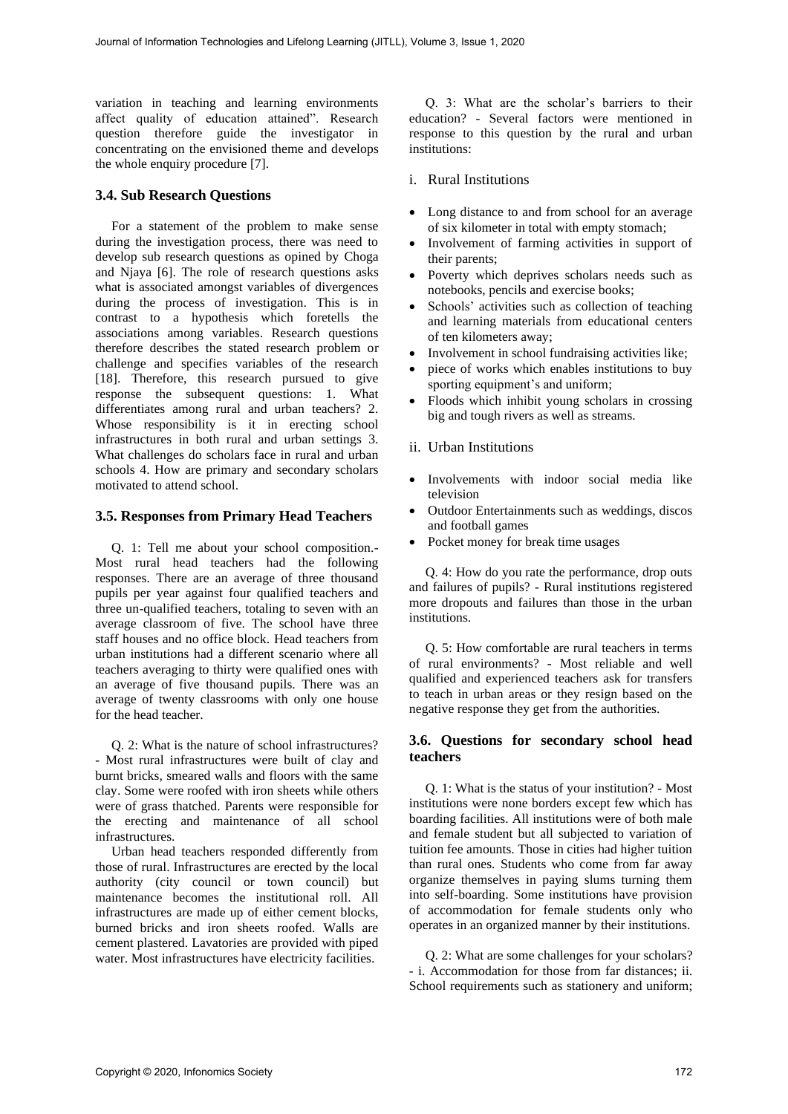variation in teaching and learning environments affect quality of education attained". Research question therefore guide the investigator in concentrating on the envisioned theme and develops the whole enquiry procedure [7].

#### **3.4. Sub Research Questions**

For a statement of the problem to make sense during the investigation process, there was need to develop sub research questions as opined by Choga and Njaya [6]. The role of research questions asks what is associated amongst variables of divergences during the process of investigation. This is in contrast to a hypothesis which foretells the associations among variables. Research questions therefore describes the stated research problem or challenge and specifies variables of the research [18]. Therefore, this research pursued to give response the subsequent questions: 1. What differentiates among rural and urban teachers? 2. Whose responsibility is it in erecting school infrastructures in both rural and urban settings 3. What challenges do scholars face in rural and urban schools 4. How are primary and secondary scholars motivated to attend school.

#### **3.5. Responses from Primary Head Teachers**

Q. 1: Tell me about your school composition.- Most rural head teachers had the following responses. There are an average of three thousand pupils per year against four qualified teachers and three un-qualified teachers, totaling to seven with an average classroom of five. The school have three staff houses and no office block. Head teachers from urban institutions had a different scenario where all teachers averaging to thirty were qualified ones with an average of five thousand pupils. There was an average of twenty classrooms with only one house for the head teacher.

Q. 2: What is the nature of school infrastructures? - Most rural infrastructures were built of clay and burnt bricks, smeared walls and floors with the same clay. Some were roofed with iron sheets while others were of grass thatched. Parents were responsible for the erecting and maintenance of all school infrastructures.

Urban head teachers responded differently from those of rural. Infrastructures are erected by the local authority (city council or town council) but maintenance becomes the institutional roll. All infrastructures are made up of either cement blocks, burned bricks and iron sheets roofed. Walls are cement plastered. Lavatories are provided with piped water. Most infrastructures have electricity facilities.

Q. 3: What are the scholar's barriers to their education? - Several factors were mentioned in response to this question by the rural and urban institutions:

#### i. Rural Institutions

- Long distance to and from school for an average of six kilometer in total with empty stomach;
- Involvement of farming activities in support of their parents;
- Poverty which deprives scholars needs such as notebooks, pencils and exercise books;
- Schools' activities such as collection of teaching and learning materials from educational centers of ten kilometers away;
- Involvement in school fundraising activities like;
- piece of works which enables institutions to buy sporting equipment's and uniform;
- Floods which inhibit young scholars in crossing big and tough rivers as well as streams.
- ii. Urban Institutions
- Involvements with indoor social media like television
- Outdoor Entertainments such as weddings, discos and football games
- Pocket money for break time usages

Q. 4: How do you rate the performance, drop outs and failures of pupils? - Rural institutions registered more dropouts and failures than those in the urban institutions.

Q. 5: How comfortable are rural teachers in terms of rural environments? - Most reliable and well qualified and experienced teachers ask for transfers to teach in urban areas or they resign based on the negative response they get from the authorities.

### **3.6. Questions for secondary school head teachers**

Q. 1: What is the status of your institution? - Most institutions were none borders except few which has boarding facilities. All institutions were of both male and female student but all subjected to variation of tuition fee amounts. Those in cities had higher tuition than rural ones. Students who come from far away organize themselves in paying slums turning them into self-boarding. Some institutions have provision of accommodation for female students only who operates in an organized manner by their institutions.

Q. 2: What are some challenges for your scholars? - i. Accommodation for those from far distances; ii. School requirements such as stationery and uniform;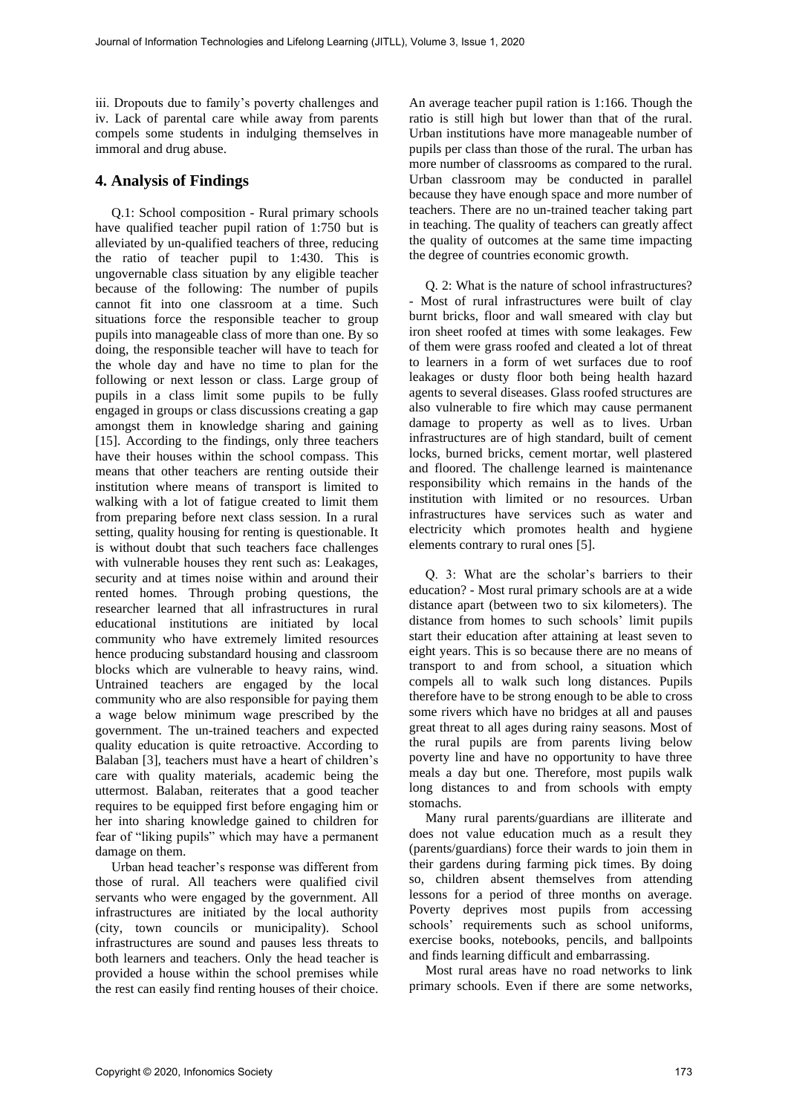iii. Dropouts due to family's poverty challenges and iv. Lack of parental care while away from parents compels some students in indulging themselves in immoral and drug abuse.

# **4. Analysis of Findings**

Q.1: School composition - Rural primary schools have qualified teacher pupil ration of 1:750 but is alleviated by un-qualified teachers of three, reducing the ratio of teacher pupil to 1:430. This is ungovernable class situation by any eligible teacher because of the following: The number of pupils cannot fit into one classroom at a time. Such situations force the responsible teacher to group pupils into manageable class of more than one. By so doing, the responsible teacher will have to teach for the whole day and have no time to plan for the following or next lesson or class. Large group of pupils in a class limit some pupils to be fully engaged in groups or class discussions creating a gap amongst them in knowledge sharing and gaining [15]. According to the findings, only three teachers have their houses within the school compass. This means that other teachers are renting outside their institution where means of transport is limited to walking with a lot of fatigue created to limit them from preparing before next class session. In a rural setting, quality housing for renting is questionable. It is without doubt that such teachers face challenges with vulnerable houses they rent such as: Leakages, security and at times noise within and around their rented homes. Through probing questions, the researcher learned that all infrastructures in rural educational institutions are initiated by local community who have extremely limited resources hence producing substandard housing and classroom blocks which are vulnerable to heavy rains, wind. Untrained teachers are engaged by the local community who are also responsible for paying them a wage below minimum wage prescribed by the government. The un-trained teachers and expected quality education is quite retroactive. According to Balaban [3], teachers must have a heart of children's care with quality materials, academic being the uttermost. Balaban, reiterates that a good teacher requires to be equipped first before engaging him or her into sharing knowledge gained to children for fear of "liking pupils" which may have a permanent damage on them.

Urban head teacher's response was different from those of rural. All teachers were qualified civil servants who were engaged by the government. All infrastructures are initiated by the local authority (city, town councils or municipality). School infrastructures are sound and pauses less threats to both learners and teachers. Only the head teacher is provided a house within the school premises while the rest can easily find renting houses of their choice.

An average teacher pupil ration is 1:166. Though the ratio is still high but lower than that of the rural. Urban institutions have more manageable number of pupils per class than those of the rural. The urban has more number of classrooms as compared to the rural. Urban classroom may be conducted in parallel because they have enough space and more number of teachers. There are no un-trained teacher taking part in teaching. The quality of teachers can greatly affect the quality of outcomes at the same time impacting the degree of countries economic growth.

Q. 2: What is the nature of school infrastructures? - Most of rural infrastructures were built of clay burnt bricks, floor and wall smeared with clay but iron sheet roofed at times with some leakages. Few of them were grass roofed and cleated a lot of threat to learners in a form of wet surfaces due to roof leakages or dusty floor both being health hazard agents to several diseases. Glass roofed structures are also vulnerable to fire which may cause permanent damage to property as well as to lives. Urban infrastructures are of high standard, built of cement locks, burned bricks, cement mortar, well plastered and floored. The challenge learned is maintenance responsibility which remains in the hands of the institution with limited or no resources. Urban infrastructures have services such as water and electricity which promotes health and hygiene elements contrary to rural ones [5].

Q. 3: What are the scholar's barriers to their education? - Most rural primary schools are at a wide distance apart (between two to six kilometers). The distance from homes to such schools' limit pupils start their education after attaining at least seven to eight years. This is so because there are no means of transport to and from school, a situation which compels all to walk such long distances. Pupils therefore have to be strong enough to be able to cross some rivers which have no bridges at all and pauses great threat to all ages during rainy seasons. Most of the rural pupils are from parents living below poverty line and have no opportunity to have three meals a day but one. Therefore, most pupils walk long distances to and from schools with empty stomachs.

Many rural parents/guardians are illiterate and does not value education much as a result they (parents/guardians) force their wards to join them in their gardens during farming pick times. By doing so, children absent themselves from attending lessons for a period of three months on average. Poverty deprives most pupils from accessing schools' requirements such as school uniforms, exercise books, notebooks, pencils, and ballpoints and finds learning difficult and embarrassing.

Most rural areas have no road networks to link primary schools. Even if there are some networks,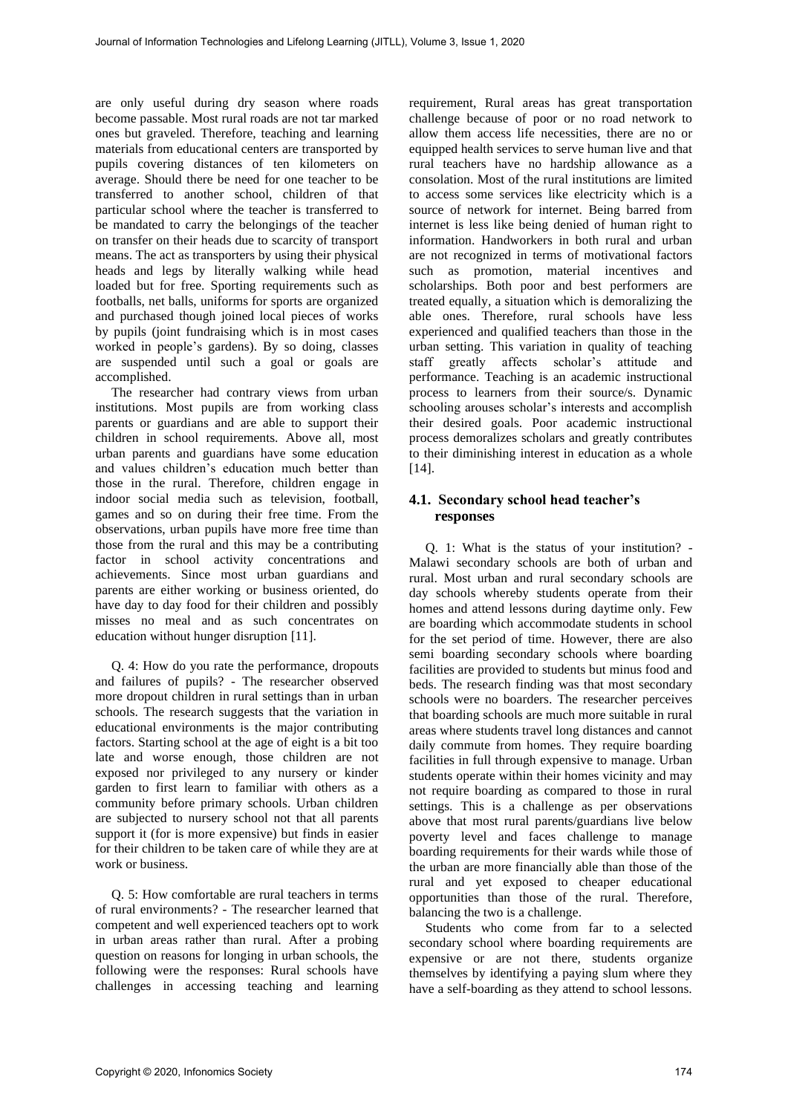are only useful during dry season where roads become passable. Most rural roads are not tar marked ones but graveled. Therefore, teaching and learning materials from educational centers are transported by pupils covering distances of ten kilometers on average. Should there be need for one teacher to be transferred to another school, children of that particular school where the teacher is transferred to be mandated to carry the belongings of the teacher on transfer on their heads due to scarcity of transport means. The act as transporters by using their physical heads and legs by literally walking while head loaded but for free. Sporting requirements such as footballs, net balls, uniforms for sports are organized and purchased though joined local pieces of works by pupils (joint fundraising which is in most cases worked in people's gardens). By so doing, classes are suspended until such a goal or goals are accomplished.

The researcher had contrary views from urban institutions. Most pupils are from working class parents or guardians and are able to support their children in school requirements. Above all, most urban parents and guardians have some education and values children's education much better than those in the rural. Therefore, children engage in indoor social media such as television, football, games and so on during their free time. From the observations, urban pupils have more free time than those from the rural and this may be a contributing factor in school activity concentrations and achievements. Since most urban guardians and parents are either working or business oriented, do have day to day food for their children and possibly misses no meal and as such concentrates on education without hunger disruption [11].

Q. 4: How do you rate the performance, dropouts and failures of pupils? - The researcher observed more dropout children in rural settings than in urban schools. The research suggests that the variation in educational environments is the major contributing factors. Starting school at the age of eight is a bit too late and worse enough, those children are not exposed nor privileged to any nursery or kinder garden to first learn to familiar with others as a community before primary schools. Urban children are subjected to nursery school not that all parents support it (for is more expensive) but finds in easier for their children to be taken care of while they are at work or business.

Q. 5: How comfortable are rural teachers in terms of rural environments? - The researcher learned that competent and well experienced teachers opt to work in urban areas rather than rural. After a probing question on reasons for longing in urban schools, the following were the responses: Rural schools have challenges in accessing teaching and learning

requirement, Rural areas has great transportation challenge because of poor or no road network to allow them access life necessities, there are no or equipped health services to serve human live and that rural teachers have no hardship allowance as a consolation. Most of the rural institutions are limited to access some services like electricity which is a source of network for internet. Being barred from internet is less like being denied of human right to information. Handworkers in both rural and urban are not recognized in terms of motivational factors such as promotion, material incentives and scholarships. Both poor and best performers are treated equally, a situation which is demoralizing the able ones. Therefore, rural schools have less experienced and qualified teachers than those in the urban setting. This variation in quality of teaching staff greatly affects scholar's attitude and performance. Teaching is an academic instructional process to learners from their source/s. Dynamic schooling arouses scholar's interests and accomplish their desired goals. Poor academic instructional process demoralizes scholars and greatly contributes to their diminishing interest in education as a whole [14].

# **4.1. Secondary school head teacher's responses**

Q. 1: What is the status of your institution? - Malawi secondary schools are both of urban and rural. Most urban and rural secondary schools are day schools whereby students operate from their homes and attend lessons during daytime only. Few are boarding which accommodate students in school for the set period of time. However, there are also semi boarding secondary schools where boarding facilities are provided to students but minus food and beds. The research finding was that most secondary schools were no boarders. The researcher perceives that boarding schools are much more suitable in rural areas where students travel long distances and cannot daily commute from homes. They require boarding facilities in full through expensive to manage. Urban students operate within their homes vicinity and may not require boarding as compared to those in rural settings. This is a challenge as per observations above that most rural parents/guardians live below poverty level and faces challenge to manage boarding requirements for their wards while those of the urban are more financially able than those of the rural and yet exposed to cheaper educational opportunities than those of the rural. Therefore, balancing the two is a challenge.

Students who come from far to a selected secondary school where boarding requirements are expensive or are not there, students organize themselves by identifying a paying slum where they have a self-boarding as they attend to school lessons.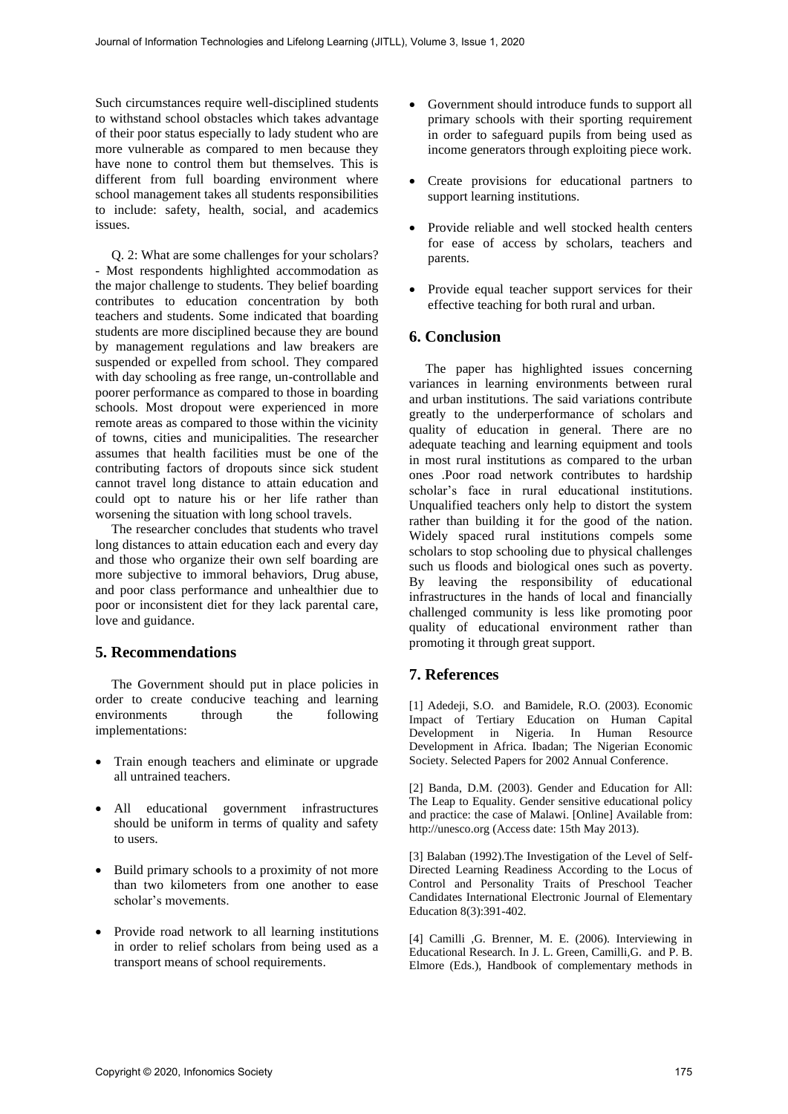Such circumstances require well-disciplined students to withstand school obstacles which takes advantage of their poor status especially to lady student who are more vulnerable as compared to men because they have none to control them but themselves. This is different from full boarding environment where school management takes all students responsibilities to include: safety, health, social, and academics issues.

Q. 2: What are some challenges for your scholars? - Most respondents highlighted accommodation as the major challenge to students. They belief boarding contributes to education concentration by both teachers and students. Some indicated that boarding students are more disciplined because they are bound by management regulations and law breakers are suspended or expelled from school. They compared with day schooling as free range, un-controllable and poorer performance as compared to those in boarding schools. Most dropout were experienced in more remote areas as compared to those within the vicinity of towns, cities and municipalities. The researcher assumes that health facilities must be one of the contributing factors of dropouts since sick student cannot travel long distance to attain education and could opt to nature his or her life rather than worsening the situation with long school travels.

The researcher concludes that students who travel long distances to attain education each and every day and those who organize their own self boarding are more subjective to immoral behaviors, Drug abuse, and poor class performance and unhealthier due to poor or inconsistent diet for they lack parental care, love and guidance.

# **5. Recommendations**

The Government should put in place policies in order to create conducive teaching and learning environments through the following implementations:

- Train enough teachers and eliminate or upgrade all untrained teachers.
- All educational government infrastructures should be uniform in terms of quality and safety to users.
- Build primary schools to a proximity of not more than two kilometers from one another to ease scholar's movements.
- Provide road network to all learning institutions in order to relief scholars from being used as a transport means of school requirements.
- Government should introduce funds to support all primary schools with their sporting requirement in order to safeguard pupils from being used as income generators through exploiting piece work.
- Create provisions for educational partners to support learning institutions.
- Provide reliable and well stocked health centers for ease of access by scholars, teachers and parents.
- Provide equal teacher support services for their effective teaching for both rural and urban.

# **6. Conclusion**

The paper has highlighted issues concerning variances in learning environments between rural and urban institutions. The said variations contribute greatly to the underperformance of scholars and quality of education in general. There are no adequate teaching and learning equipment and tools in most rural institutions as compared to the urban ones .Poor road network contributes to hardship scholar's face in rural educational institutions. Unqualified teachers only help to distort the system rather than building it for the good of the nation. Widely spaced rural institutions compels some scholars to stop schooling due to physical challenges such us floods and biological ones such as poverty. By leaving the responsibility of educational infrastructures in the hands of local and financially challenged community is less like promoting poor quality of educational environment rather than promoting it through great support.

# **7. References**

[1] Adedeji, S.O. and Bamidele, R.O. (2003). Economic Impact of Tertiary Education on Human Capital Development in Nigeria. In Human Resource Development in Africa. Ibadan; The Nigerian Economic Society. Selected Papers for 2002 Annual Conference.

[2] Banda, D.M. (2003). Gender and Education for All: The Leap to Equality. Gender sensitive educational policy and practice: the case of Malawi. [Online] Available from: http://unesco.org (Access date: 15th May 2013).

[3] Balaban (1992).The Investigation of the Level of Self-Directed Learning Readiness According to the Locus of Control and Personality Traits of Preschool Teacher Candidates International Electronic Journal of Elementary Education 8(3):391-402.

[4] Camilli ,G. Brenner, M. E. (2006). Interviewing in Educational Research. In J. L. Green, Camilli,G. and P. B. Elmore (Eds.), Handbook of complementary methods in